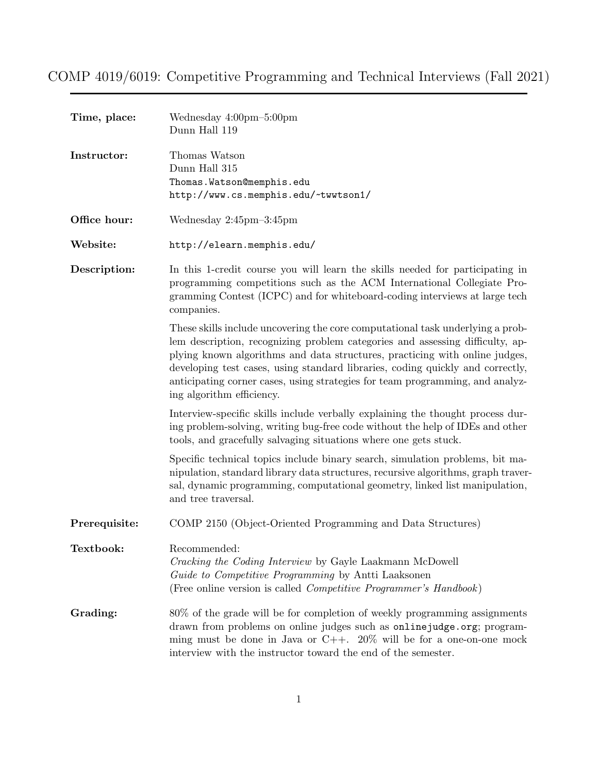COMP 4019/6019: Competitive Programming and Technical Interviews (Fall 2021)

| Time, place:  | Wednesday $4:00 \text{pm}-5:00 \text{pm}$<br>Dunn Hall 119                                                                                                                                                                                                                                                                                                                                                                                     |
|---------------|------------------------------------------------------------------------------------------------------------------------------------------------------------------------------------------------------------------------------------------------------------------------------------------------------------------------------------------------------------------------------------------------------------------------------------------------|
| Instructor:   | Thomas Watson<br>Dunn Hall 315<br>Thomas. Watson@memphis.edu<br>http://www.cs.memphis.edu/~twwtson1/                                                                                                                                                                                                                                                                                                                                           |
| Office hour:  | Wednesday $2:45 \text{pm} - 3:45 \text{pm}$                                                                                                                                                                                                                                                                                                                                                                                                    |
| Website:      | http://elearn.memphis.edu/                                                                                                                                                                                                                                                                                                                                                                                                                     |
| Description:  | In this 1-credit course you will learn the skills needed for participating in<br>programming competitions such as the ACM International Collegiate Pro-<br>gramming Contest (ICPC) and for whiteboard-coding interviews at large tech<br>companies.                                                                                                                                                                                            |
|               | These skills include uncovering the core computational task underlying a prob-<br>lem description, recognizing problem categories and assessing difficulty, ap-<br>plying known algorithms and data structures, practicing with online judges,<br>developing test cases, using standard libraries, coding quickly and correctly,<br>anticipating corner cases, using strategies for team programming, and analyz-<br>ing algorithm efficiency. |
|               | Interview-specific skills include verbally explaining the thought process dur-<br>ing problem-solving, writing bug-free code without the help of IDEs and other<br>tools, and gracefully salvaging situations where one gets stuck.                                                                                                                                                                                                            |
|               | Specific technical topics include binary search, simulation problems, bit ma-<br>nipulation, standard library data structures, recursive algorithms, graph traver-<br>sal, dynamic programming, computational geometry, linked list manipulation,<br>and tree traversal.                                                                                                                                                                       |
| Prerequisite: | COMP 2150 (Object-Oriented Programming and Data Structures)                                                                                                                                                                                                                                                                                                                                                                                    |
| Textbook:     | Recommended:<br>Cracking the Coding Interview by Gayle Laakmann McDowell<br>Guide to Competitive Programming by Antti Laaksonen<br>(Free online version is called <i>Competitive Programmer's Handbook</i> )                                                                                                                                                                                                                                   |
| Grading:      | 80% of the grade will be for completion of weekly programming assignments<br>drawn from problems on online judges such as online judge.org; program-<br>ming must be done in Java or $C++$ . 20% will be for a one-on-one mock<br>interview with the instructor toward the end of the semester.                                                                                                                                                |